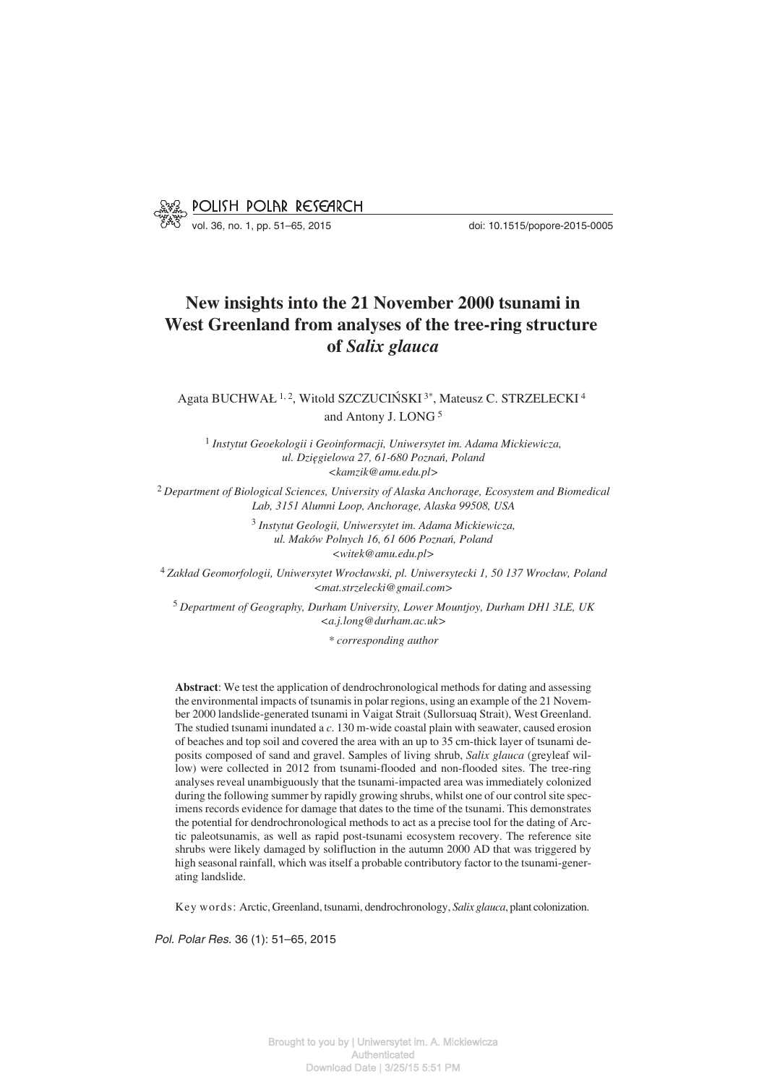

# **New insights into the 21 November 2000 tsunami in West Greenland from analyses of the tree−ring structure of** *Salix glauca*

Agata BUCHWAŁ <sup>1, 2</sup>, Witold SZCZUCIŃSKI<sup>3\*</sup>, Mateusz C. STRZELECKI<sup>4</sup> and Antony J. LONG <sup>5</sup>

<sup>1</sup> *Instytut Geoekologii i Geoinformacji, Uniwersytet im. Adama Mickiewicza, ul. Dzięgielowa 27, 61−680 Poznań, Poland <kamzik@amu.edu.pl>*

<sup>2</sup> *Department of Biological Sciences, University of Alaska Anchorage, Ecosystem and Biomedical Lab, 3151 Alumni Loop, Anchorage, Alaska 99508, USA*

> <sup>3</sup> *Instytut Geologii, Uniwersytet im. Adama Mickiewicza, ul. Maków Polnych 16, 61 606 Poznań, Poland <witek@amu.edu.pl>*

<sup>4</sup> *Zakład Geomorfologii, Uniwersytet Wrocławski, pl. Uniwersytecki 1, 50 137 Wrocław, Poland <mat.strzelecki@gmail.com>*

<sup>5</sup> *Department of Geography, Durham University, Lower Mountjoy, Durham DH1 3LE, UK <a.j.long@durham.ac.uk>*

*\* corresponding author*

**Abstract**: We test the application of dendrochronological methods for dating and assessing the environmental impacts of tsunamis in polar regions, using an example of the 21 Novem− ber 2000 landslide−generated tsunami in Vaigat Strait (Sullorsuaq Strait), West Greenland. The studied tsunami inundated a *c*. 130 m−wide coastal plain with seawater, caused erosion of beaches and top soil and covered the area with an up to 35 cm−thick layer of tsunami de− posits composed of sand and gravel. Samples of living shrub, *Salix glauca* (greyleaf wil− low) were collected in 2012 from tsunami−flooded and non−flooded sites. The tree−ring analyses reveal unambiguously that the tsunami−impacted area was immediately colonized during the following summer by rapidly growing shrubs, whilst one of our control site spec− imens records evidence for damage that dates to the time of the tsunami. This demonstrates the potential for dendrochronological methods to act as a precise tool for the dating of Arc− tic paleotsunamis, as well as rapid post−tsunami ecosystem recovery. The reference site shrubs were likely damaged by solifluction in the autumn 2000 AD that was triggered by high seasonal rainfall, which was itself a probable contributory factor to the tsunami−gener− ating landslide.

Key words: Arctic, Greenland, tsunami, dendrochronology, *Salix glauca*, plant colonization.

*Pol. Polar Res.* 36 (1): 51–65, 2015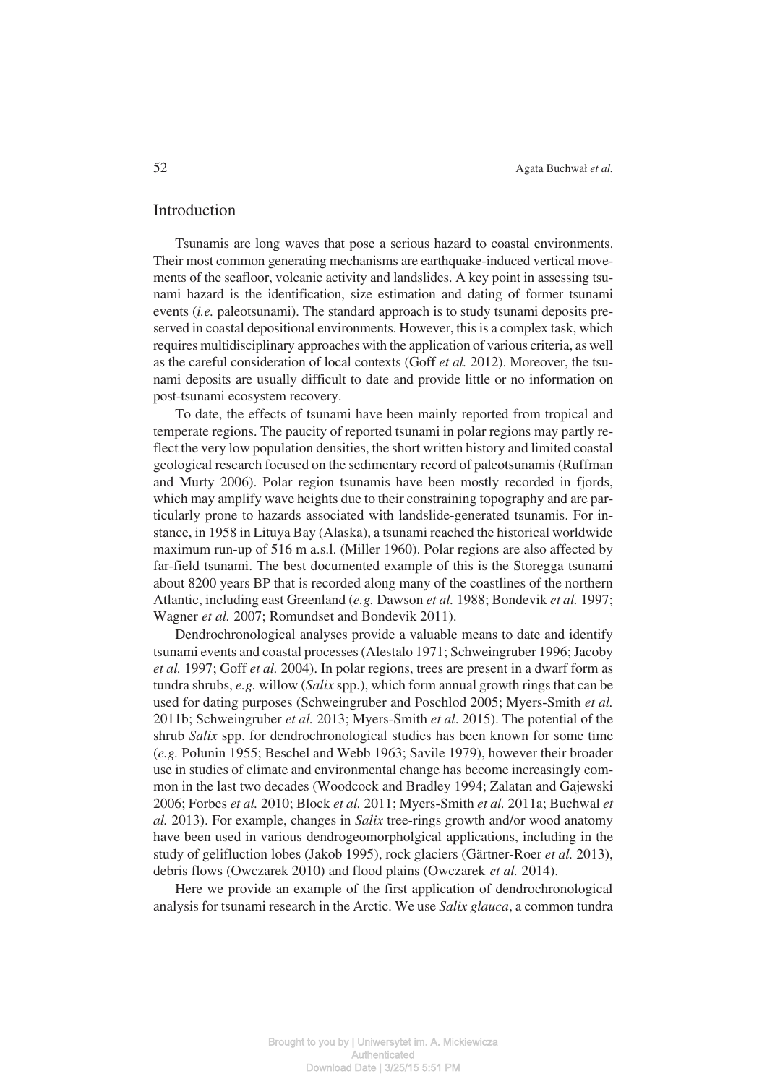#### Introduction

Tsunamis are long waves that pose a serious hazard to coastal environments. Their most common generating mechanisms are earthquake-induced vertical movements of the seafloor, volcanic activity and landslides. A key point in assessing tsu− nami hazard is the identification, size estimation and dating of former tsunami events (*i.e.* paleotsunami). The standard approach is to study tsunami deposits pre− served in coastal depositional environments. However, this is a complex task, which requires multidisciplinary approaches with the application of various criteria, as well as the careful consideration of local contexts (Goff *et al.* 2012). Moreover, the tsu− nami deposits are usually difficult to date and provide little or no information on post−tsunami ecosystem recovery.

To date, the effects of tsunami have been mainly reported from tropical and temperate regions. The paucity of reported tsunami in polar regions may partly re− flect the very low population densities, the short written history and limited coastal geological research focused on the sedimentary record of paleotsunamis (Ruffman and Murty 2006). Polar region tsunamis have been mostly recorded in fjords, which may amplify wave heights due to their constraining topography and are par− ticularly prone to hazards associated with landslide−generated tsunamis. For in− stance, in 1958 in Lituya Bay (Alaska), a tsunami reached the historical worldwide maximum run−up of 516 m a.s.l. (Miller 1960). Polar regions are also affected by far−field tsunami. The best documented example of this is the Storegga tsunami about 8200 years BP that is recorded along many of the coastlines of the northern Atlantic, including east Greenland (*e.g.* Dawson *et al.* 1988; Bondevik *et al.* 1997; Wagner *et al.* 2007; Romundset and Bondevik 2011).

Dendrochronological analyses provide a valuable means to date and identify tsunami events and coastal processes (Alestalo 1971; Schweingruber 1996; Jacoby *et al.* 1997; Goff *et al.* 2004). In polar regions, trees are present in a dwarf form as tundra shrubs, *e.g.* willow (*Salix* spp.), which form annual growth rings that can be used for dating purposes (Schweingruber and Poschlod 2005; Myers−Smith *et al.* 2011b; Schweingruber *et al.* 2013; Myers−Smith *et al*. 2015). The potential of the shrub *Salix* spp. for dendrochronological studies has been known for some time (*e.g.* Polunin 1955; Beschel and Webb 1963; Savile 1979), however their broader use in studies of climate and environmental change has become increasingly com− mon in the last two decades (Woodcock and Bradley 1994; Zalatan and Gajewski 2006; Forbes *et al.* 2010; Block *et al.* 2011; Myers−Smith *et al.* 2011a; Buchwal *et al.* 2013). For example, changes in *Salix* tree−rings growth and/or wood anatomy have been used in various dendrogeomorpholgical applications, including in the study of gelifluction lobes (Jakob 1995), rock glaciers (Gärtner−Roer *et al.* 2013), debris flows (Owczarek 2010) and flood plains (Owczarek *et al.* 2014).

Here we provide an example of the first application of dendrochronological analysis for tsunami research in the Arctic. We use *Salix glauca*, a common tundra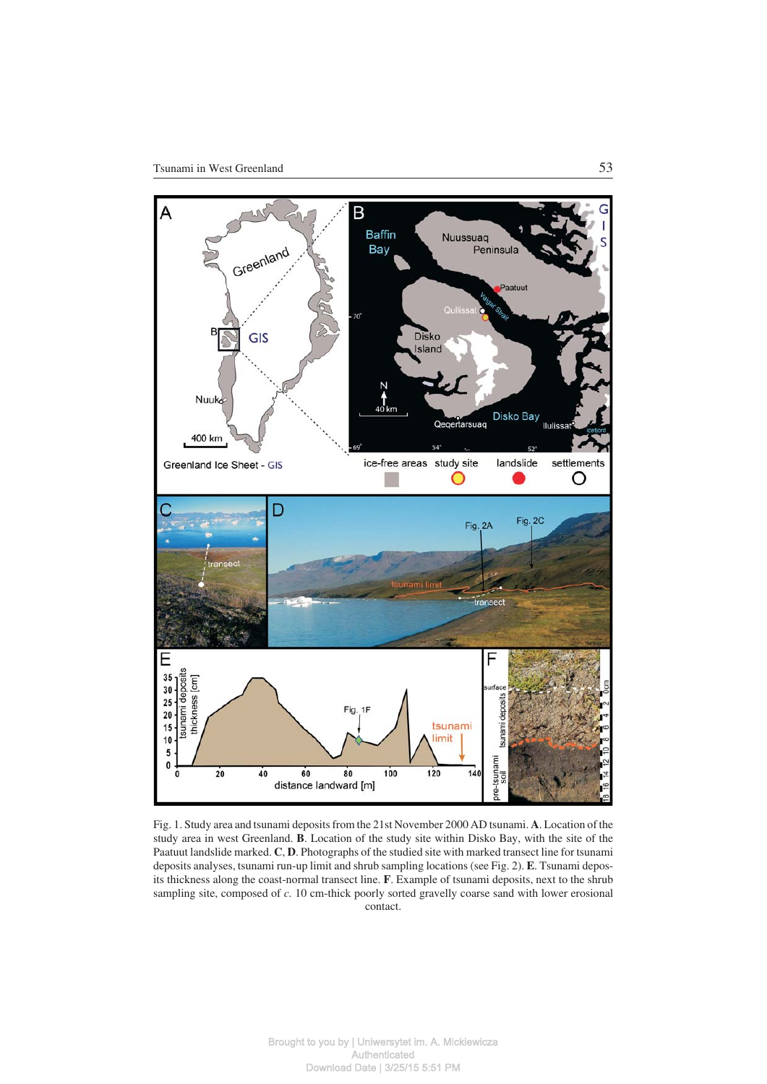

Fig. 1. Study area and tsunami deposits from the 21st November 2000 AD tsunami. **A**. Location of the study area in west Greenland. **B**. Location of the study site within Disko Bay, with the site of the Paatuut landslide marked. **C**, **D**. Photographs of the studied site with marked transect line for tsunami deposits analyses, tsunami run−up limit and shrub sampling locations (see Fig. 2). **E**. Tsunami depos− its thickness along the coast−normal transect line. **F**. Example of tsunami deposits, next to the shrub sampling site, composed of *c.* 10 cm−thick poorly sorted gravelly coarse sand with lower erosional contact.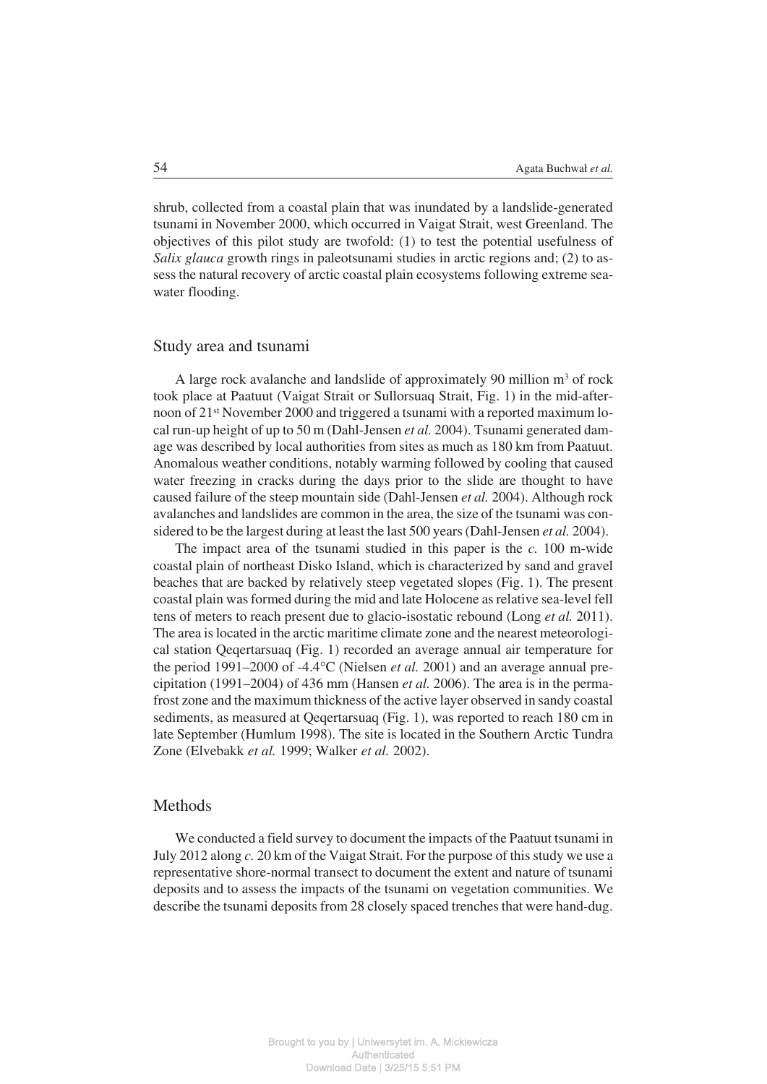shrub, collected from a coastal plain that was inundated by a landslide−generated tsunami in November 2000, which occurred in Vaigat Strait, west Greenland. The objectives of this pilot study are twofold: (1) to test the potential usefulness of *Salix glauca* growth rings in paleotsunami studies in arctic regions and; (2) to as− sess the natural recovery of arctic coastal plain ecosystems following extreme sea− water flooding.

#### Study area and tsunami

A large rock avalanche and landslide of approximately 90 million m3 of rock took place at Paatuut (Vaigat Strait or Sullorsuaq Strait, Fig. 1) in the mid−after− noon of 21<sup>st</sup> November 2000 and triggered a tsunami with a reported maximum local run−up height of up to 50 m (Dahl−Jensen *et al.* 2004). Tsunami generated dam− age was described by local authorities from sites as much as 180 km from Paatuut. Anomalous weather conditions, notably warming followed by cooling that caused water freezing in cracks during the days prior to the slide are thought to have caused failure of the steep mountain side (Dahl−Jensen *et al.* 2004). Although rock avalanches and landslides are common in the area, the size of the tsunami was con− sidered to be the largest during at least the last 500 years (Dahl−Jensen *et al.* 2004).

The impact area of the tsunami studied in this paper is the *c.* 100 m−wide coastal plain of northeast Disko Island, which is characterized by sand and gravel beaches that are backed by relatively steep vegetated slopes (Fig. 1). The present coastal plain was formed during the mid and late Holocene as relative sea−level fell tens of meters to reach present due to glacio−isostatic rebound (Long *et al.* 2011). The area is located in the arctic maritime climate zone and the nearest meteorologi− cal station Qeqertarsuaq (Fig. 1) recorded an average annual air temperature for the period 1991–2000 of -4.4°C (Nielsen *et al.* 2001) and an average annual prethe period 1991–2000 of -4.4°C (Nielsen *et al.* 2001) and an average annual precipitation (1991–2004) of 436 mm (Hansen *et al.* 2006). The area is in the perma− frost zone and the maximum thickness of the active layer observed in sandy coastal sediments, as measured at Qeqertarsuaq (Fig. 1), was reported to reach 180 cm in late September (Humlum 1998). The site is located in the Southern Arctic Tundra Zone (Elvebakk *et al.* 1999; Walker *et al.* 2002).

#### Methods

We conducted a field survey to document the impacts of the Paatuut tsunami in July 2012 along *c.* 20 km of the Vaigat Strait. For the purpose of this study we use a representative shore−normal transect to document the extent and nature of tsunami deposits and to assess the impacts of the tsunami on vegetation communities. We describe the tsunami deposits from 28 closely spaced trenches that were hand−dug.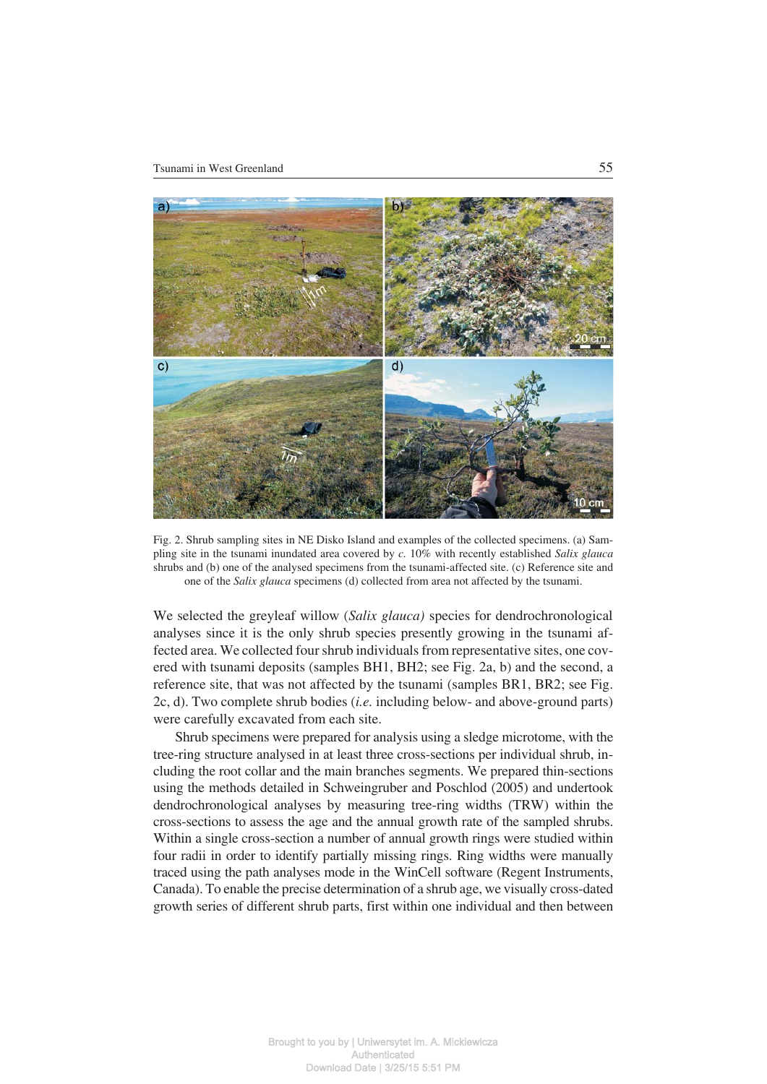

Fig. 2. Shrub sampling sites in NE Disko Island and examples of the collected specimens. (a) Sam− pling site in the tsunami inundated area covered by *c.* 10% with recently established *Salix glauca* shrubs and (b) one of the analysed specimens from the tsunami−affected site. (c) Reference site and one of the *Salix glauca* specimens (d) collected from area not affected by the tsunami.

We selected the greyleaf willow (*Salix glauca)* species for dendrochronological analyses since it is the only shrub species presently growing in the tsunami af− fected area. We collected four shrub individuals from representative sites, one cov− ered with tsunami deposits (samples BH1, BH2; see Fig. 2a, b) and the second, a reference site, that was not affected by the tsunami (samples BR1, BR2; see Fig. 2c, d). Two complete shrub bodies (*i.e.* including below− and above−ground parts) were carefully excavated from each site.

Shrub specimens were prepared for analysis using a sledge microtome, with the tree−ring structure analysed in at least three cross−sections per individual shrub, in− cluding the root collar and the main branches segments. We prepared thin−sections using the methods detailed in Schweingruber and Poschlod (2005) and undertook dendrochronological analyses by measuring tree−ring widths (TRW) within the cross−sections to assess the age and the annual growth rate of the sampled shrubs. Within a single cross−section a number of annual growth rings were studied within four radii in order to identify partially missing rings. Ring widths were manually traced using the path analyses mode in the WinCell software (Regent Instruments, Canada). To enable the precise determination of a shrub age, we visually cross−dated growth series of different shrub parts, first within one individual and then between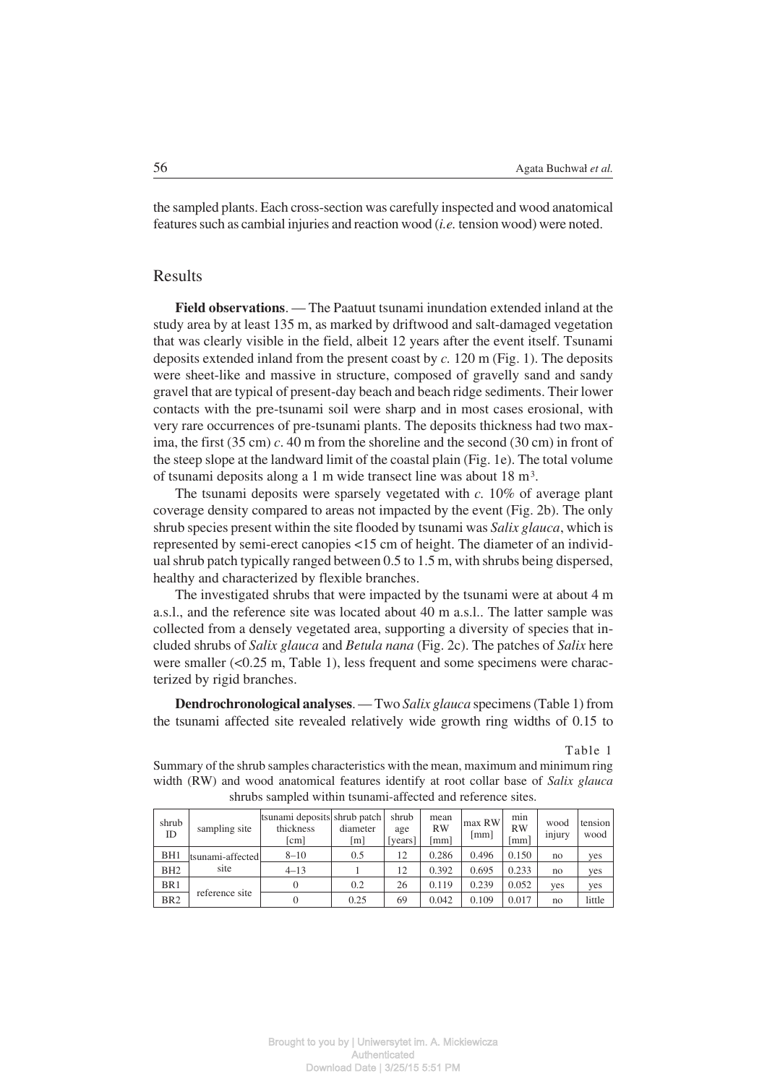the sampled plants. Each cross−section was carefully inspected and wood anatomical features such as cambial injuries and reaction wood (*i.e.* tension wood) were noted.

## Results

**Field observations**. — The Paatuut tsunami inundation extended inland at the study area by at least 135 m, as marked by driftwood and salt−damaged vegetation that was clearly visible in the field, albeit 12 years after the event itself. Tsunami deposits extended inland from the present coast by *c.* 120 m (Fig. 1). The deposits were sheet−like and massive in structure, composed of gravelly sand and sandy gravel that are typical of present−day beach and beach ridge sediments. Their lower contacts with the pre−tsunami soil were sharp and in most cases erosional, with very rare occurrences of pre−tsunami plants. The deposits thickness had two max− ima, the first (35 cm) *c*. 40 m from the shoreline and the second (30 cm) in front of the steep slope at the landward limit of the coastal plain (Fig. 1e). The total volume of tsunami deposits along a 1 m wide transect line was about 18 m3.

The tsunami deposits were sparsely vegetated with *c.* 10% of average plant coverage density compared to areas not impacted by the event (Fig. 2b). The only shrub species present within the site flooded by tsunami was *Salix glauca*, which is represented by semi−erect canopies <15 cm of height. The diameter of an individ− ual shrub patch typically ranged between 0.5 to 1.5 m, with shrubs being dispersed, healthy and characterized by flexible branches.

The investigated shrubs that were impacted by the tsunami were at about 4 m a.s.l., and the reference site was located about 40 m a.s.l.. The latter sample was collected from a densely vegetated area, supporting a diversity of species that in− cluded shrubs of *Salix glauca* and *Betula nana* (Fig. 2c). The patches of *Salix* here were smaller (<0.25 m, Table 1), less frequent and some specimens were characterized by rigid branches.

**Dendrochronological analyses**. — Two *Salix glauca* specimens (Table 1) from the tsunami affected site revealed relatively wide growth ring widths of 0.15 to

Table 1

Summary of the shrub samples characteristics with the mean, maximum and minimum ring width (RW) and wood anatomical features identify at root collar base of *Salix glauca* shrubs sampled within tsunami−affected and reference sites.

| shrub<br>ID     | sampling site    | tsunami deposits shrub patch<br>thickness<br>$\lfloor$ cm $\rfloor$ | diameter<br>$\lceil m \rceil$ | shrub<br>age<br>[years] | mean<br><b>RW</b><br>mm] | max RW<br>[mm] | min<br><b>RW</b><br>mm | wood<br>injury | tension<br>wood |
|-----------------|------------------|---------------------------------------------------------------------|-------------------------------|-------------------------|--------------------------|----------------|------------------------|----------------|-----------------|
| BH <sub>1</sub> | tsunami-affected | $8 - 10$                                                            | 0.5                           | 12                      | 0.286                    | 0.496          | 0.150                  | no             | yes             |
| BH <sub>2</sub> | site             | $4 - 13$                                                            |                               | 12                      | 0.392                    | 0.695          | 0.233                  | no             | yes             |
| BR <sub>1</sub> | reference site   |                                                                     | 0.2                           | 26                      | 0.119                    | 0.239          | 0.052                  | yes            | yes             |
| BR <sub>2</sub> |                  |                                                                     | 0.25                          | 69                      | 0.042                    | 0.109          | 0.017                  | no             | little          |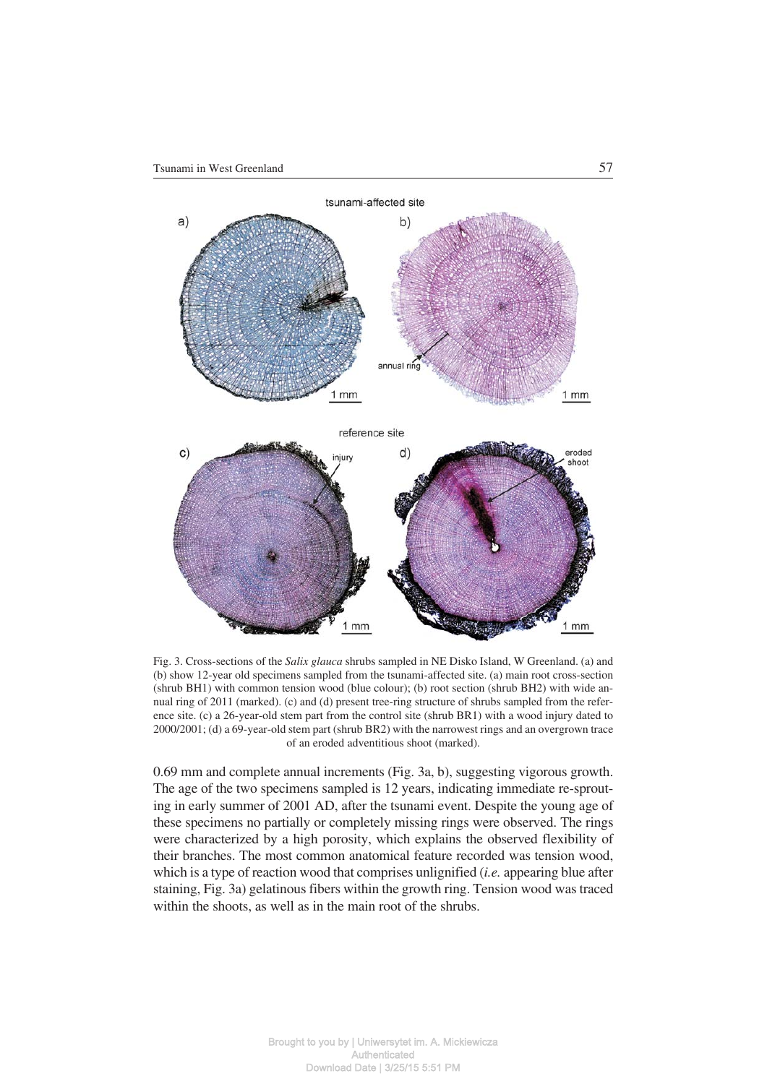

Fig. 3. Cross−sections of the *Salix glauca* shrubs sampled in NE Disko Island, W Greenland. (a) and (b) show 12−year old specimens sampled from the tsunami−affected site. (a) main root cross−section (shrub BH1) with common tension wood (blue colour); (b) root section (shrub BH2) with wide an− nual ring of 2011 (marked). (c) and (d) present tree−ring structure of shrubs sampled from the refer− ence site. (c) a 26−year−old stem part from the control site (shrub BR1) with a wood injury dated to 2000/2001; (d) a 69−year−old stem part (shrub BR2) with the narrowest rings and an overgrown trace of an eroded adventitious shoot (marked).

0.69 mm and complete annual increments (Fig. 3a, b), suggesting vigorous growth. The age of the two specimens sampled is 12 years, indicating immediate re-sprout− ing in early summer of 2001 AD, after the tsunami event. Despite the young age of these specimens no partially or completely missing rings were observed. The rings were characterized by a high porosity, which explains the observed flexibility of their branches. The most common anatomical feature recorded was tension wood, which is a type of reaction wood that comprises unlignified (*i.e.* appearing blue after staining, Fig. 3a) gelatinous fibers within the growth ring. Tension wood was traced within the shoots, as well as in the main root of the shrubs.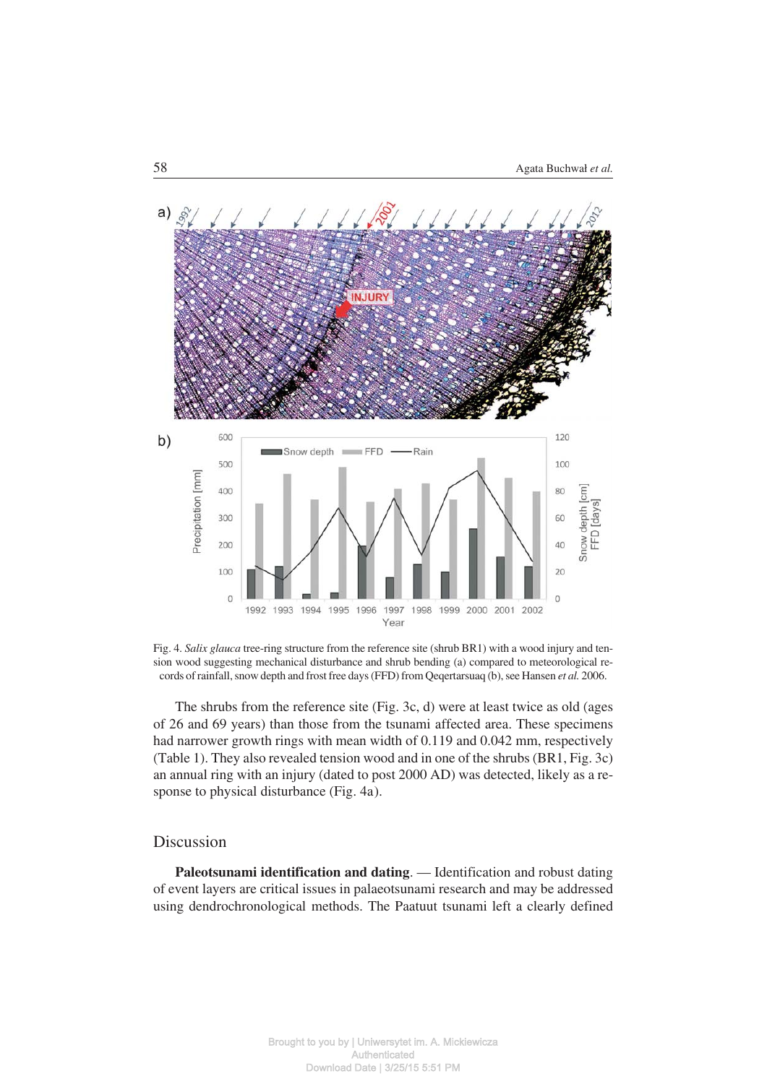

Fig. 4. *Salix glauca* tree−ring structure from the reference site (shrub BR1) with a wood injury and ten− sion wood suggesting mechanical disturbance and shrub bending (a) compared to meteorological re− cords of rainfall, snow depth and frost free days (FFD) from Qeqertarsuaq (b), see Hansen *et al.* 2006.

The shrubs from the reference site (Fig. 3c, d) were at least twice as old (ages of 26 and 69 years) than those from the tsunami affected area. These specimens had narrower growth rings with mean width of 0.119 and 0.042 mm, respectively (Table 1). They also revealed tension wood and in one of the shrubs (BR1, Fig. 3c) an annual ring with an injury (dated to post 2000 AD) was detected, likely as a re− sponse to physical disturbance (Fig. 4a).

## Discussion

**Paleotsunami identification and dating**. — Identification and robust dating of event layers are critical issues in palaeotsunami research and may be addressed using dendrochronological methods. The Paatuut tsunami left a clearly defined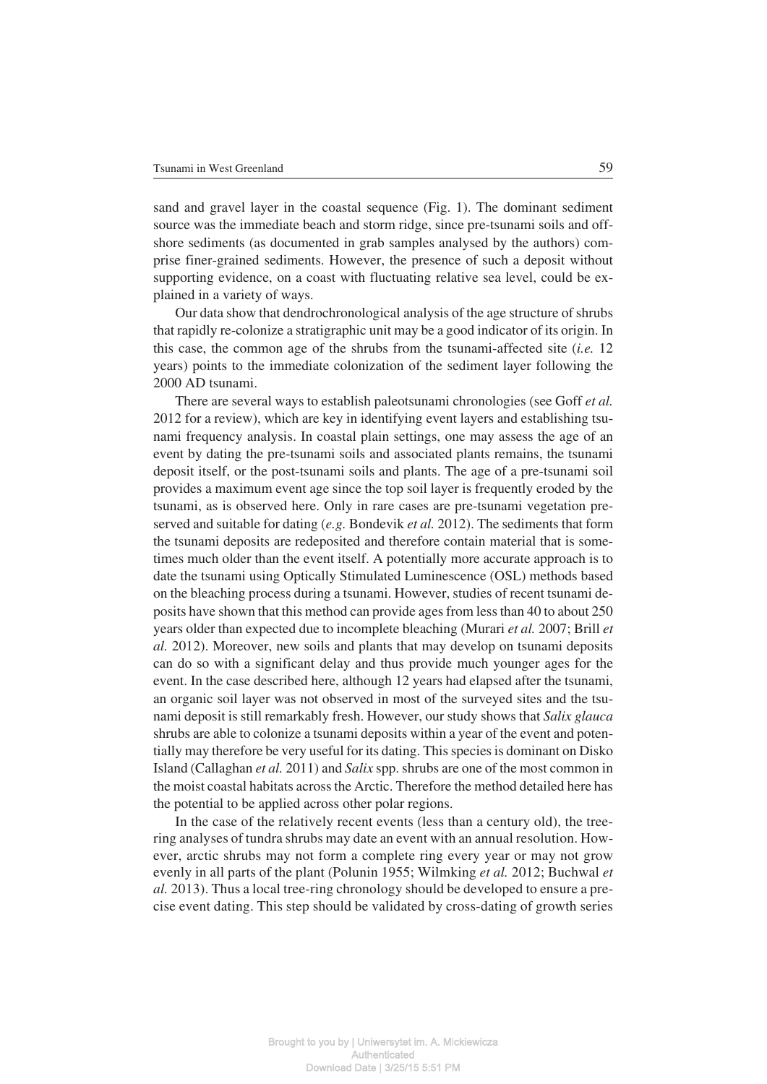sand and gravel layer in the coastal sequence (Fig. 1). The dominant sediment source was the immediate beach and storm ridge, since pre−tsunami soils and off− shore sediments (as documented in grab samples analysed by the authors) com− prise finer−grained sediments. However, the presence of such a deposit without supporting evidence, on a coast with fluctuating relative sea level, could be ex− plained in a variety of ways.

Our data show that dendrochronological analysis of the age structure of shrubs that rapidly re−colonize a stratigraphic unit may be a good indicator of its origin. In this case, the common age of the shrubs from the tsunami−affected site (*i.e.* 12 years) points to the immediate colonization of the sediment layer following the 2000 AD tsunami.

There are several ways to establish paleotsunami chronologies (see Goff *et al.* 2012 for a review), which are key in identifying event layers and establishing tsu− nami frequency analysis. In coastal plain settings, one may assess the age of an event by dating the pre−tsunami soils and associated plants remains, the tsunami deposit itself, or the post−tsunami soils and plants. The age of a pre−tsunami soil provides a maximum event age since the top soil layer is frequently eroded by the tsunami, as is observed here. Only in rare cases are pre−tsunami vegetation pre− served and suitable for dating (*e.g.* Bondevik *et al.* 2012). The sediments that form the tsunami deposits are redeposited and therefore contain material that is some− times much older than the event itself. A potentially more accurate approach is to date the tsunami using Optically Stimulated Luminescence (OSL) methods based on the bleaching process during a tsunami. However, studies of recent tsunami de− posits have shown that this method can provide ages from less than 40 to about 250 years older than expected due to incomplete bleaching (Murari *et al.* 2007; Brill *et al.* 2012). Moreover, new soils and plants that may develop on tsunami deposits can do so with a significant delay and thus provide much younger ages for the event. In the case described here, although 12 years had elapsed after the tsunami, an organic soil layer was not observed in most of the surveyed sites and the tsu− nami deposit is still remarkably fresh. However, our study shows that *Salix glauca* shrubs are able to colonize a tsunami deposits within a year of the event and poten− tially may therefore be very useful for its dating. This species is dominant on Disko Island (Callaghan *et al.* 2011) and *Salix* spp. shrubs are one of the most common in the moist coastal habitats across the Arctic. Therefore the method detailed here has the potential to be applied across other polar regions.

In the case of the relatively recent events (less than a century old), the tree− ring analyses of tundra shrubs may date an event with an annual resolution. How− ever, arctic shrubs may not form a complete ring every year or may not grow evenly in all parts of the plant (Polunin 1955; Wilmking *et al.* 2012; Buchwal *et al.* 2013). Thus a local tree−ring chronology should be developed to ensure a pre− cise event dating. This step should be validated by cross−dating of growth series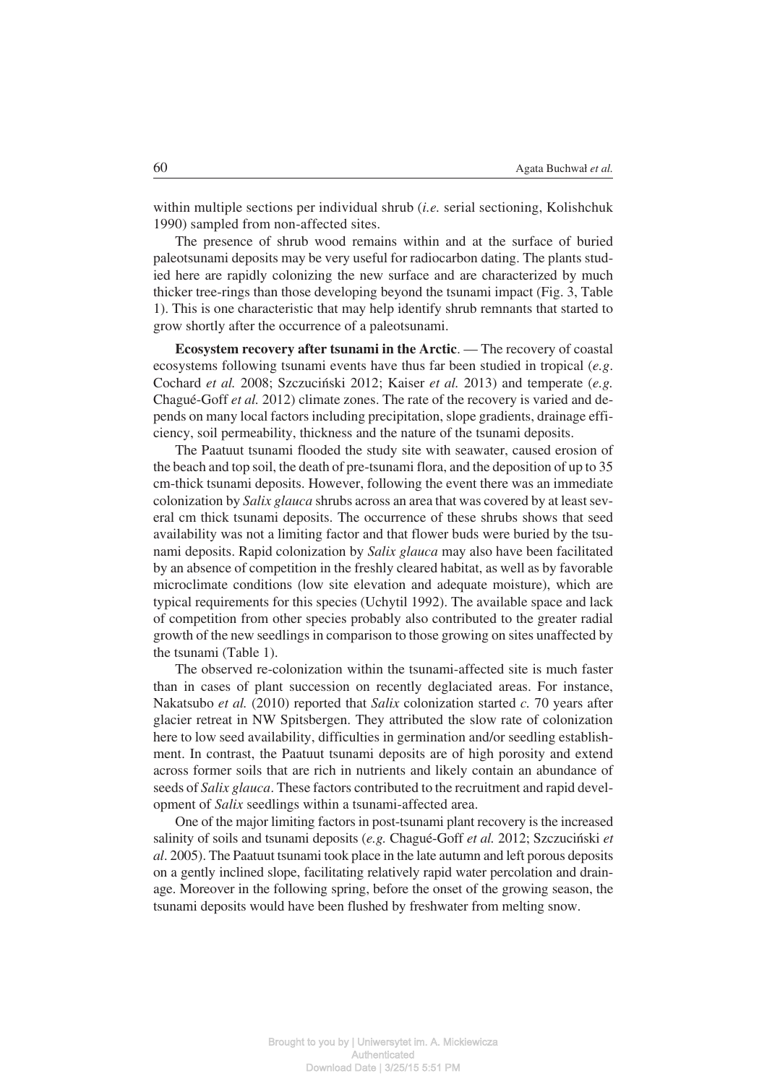within multiple sections per individual shrub (*i.e.* serial sectioning, Kolishchuk 1990) sampled from non−affected sites.

The presence of shrub wood remains within and at the surface of buried paleotsunami deposits may be very useful for radiocarbon dating. The plants stud− ied here are rapidly colonizing the new surface and are characterized by much thicker tree−rings than those developing beyond the tsunami impact (Fig. 3, Table 1). This is one characteristic that may help identify shrub remnants that started to grow shortly after the occurrence of a paleotsunami.

**Ecosystem recovery after tsunami in the Arctic**. — The recovery of coastal ecosystems following tsunami events have thus far been studied in tropical (*e.g*. Cochard *et al.* 2008; Szczuciński 2012; Kaiser *et al.* 2013) and temperate (*e.g.* Chagué−Goff *et al.* 2012) climate zones. The rate of the recovery is varied and de− pends on many local factors including precipitation, slope gradients, drainage effi− ciency, soil permeability, thickness and the nature of the tsunami deposits.

The Paatuut tsunami flooded the study site with seawater, caused erosion of the beach and top soil, the death of pre−tsunami flora, and the deposition of up to 35 cm−thick tsunami deposits. However, following the event there was an immediate colonization by *Salix glauca* shrubs across an area that was covered by at least sev− eral cm thick tsunami deposits. The occurrence of these shrubs shows that seed availability was not a limiting factor and that flower buds were buried by the tsu− nami deposits. Rapid colonization by *Salix glauca* may also have been facilitated by an absence of competition in the freshly cleared habitat, as well as by favorable microclimate conditions (low site elevation and adequate moisture), which are typical requirements for this species (Uchytil 1992). The available space and lack of competition from other species probably also contributed to the greater radial growth of the new seedlings in comparison to those growing on sites unaffected by the tsunami (Table 1).

The observed re−colonization within the tsunami−affected site is much faster than in cases of plant succession on recently deglaciated areas. For instance, Nakatsubo *et al.* (2010) reported that *Salix* colonization started *c.* 70 years after glacier retreat in NW Spitsbergen. They attributed the slow rate of colonization here to low seed availability, difficulties in germination and/or seedling establish− ment. In contrast, the Paatuut tsunami deposits are of high porosity and extend across former soils that are rich in nutrients and likely contain an abundance of seeds of *Salix glauca*. These factors contributed to the recruitment and rapid devel− opment of *Salix* seedlings within a tsunami−affected area.

One of the major limiting factors in post−tsunami plant recovery is the increased salinity of soils and tsunami deposits (*e.g.* Chagué−Goff *et al.* 2012; Szczuciński *et al*. 2005). The Paatuut tsunami took place in the late autumn and left porous deposits on a gently inclined slope, facilitating relatively rapid water percolation and drain− age. Moreover in the following spring, before the onset of the growing season, the tsunami deposits would have been flushed by freshwater from melting snow.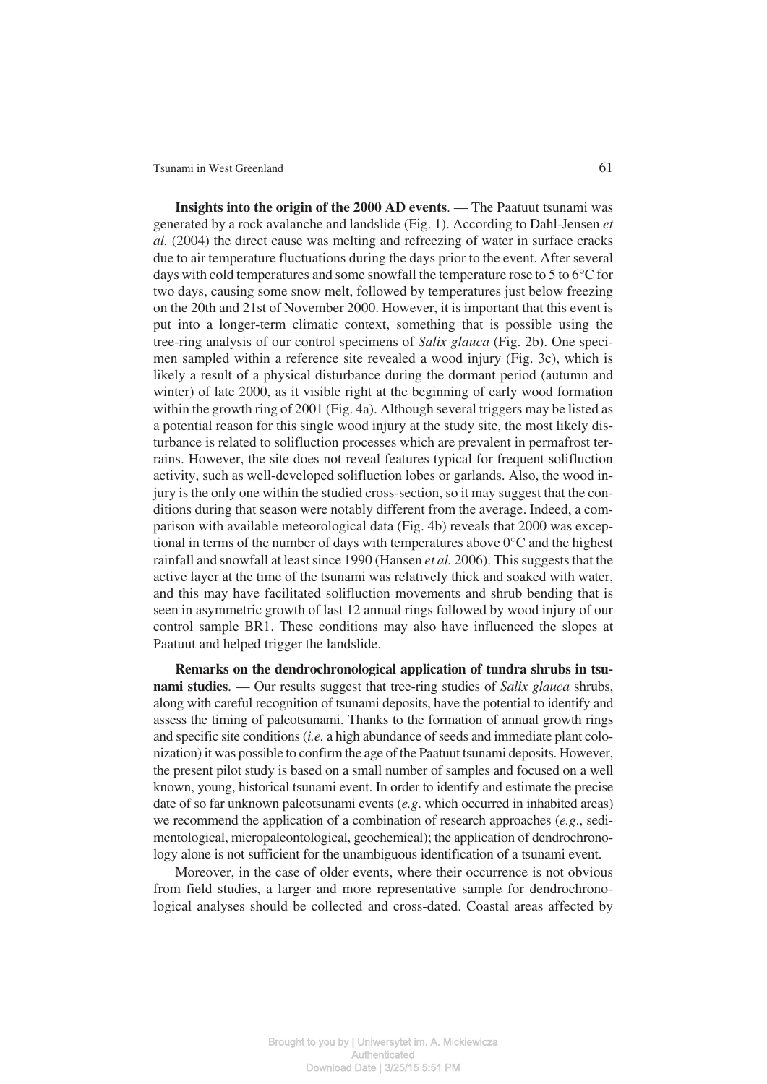**Insights into the origin of the 2000 AD events**. — The Paatuut tsunami was generated by a rock avalanche and landslide (Fig. 1). According to Dahl−Jensen *et al.* (2004) the direct cause was melting and refreezing of water in surface cracks due to air temperature fluctuations during the days prior to the event. After several days with cold temperatures and some snowfall the temperature rose to 5 to 6 $\degree$ C for days with cold temperatures and some snowfall the temperature rose to 5 to 6°C for two days, causing some snow melt, followed by temperatures just below freezing on the 20th and 21st of November 2000. However, it is important that this event is put into a longer−term climatic context, something that is possible using the tree−ring analysis of our control specimens of *Salix glauca* (Fig. 2b). One speci− men sampled within a reference site revealed a wood injury (Fig. 3c), which is likely a result of a physical disturbance during the dormant period (autumn and winter) of late 2000, as it visible right at the beginning of early wood formation within the growth ring of 2001 (Fig. 4a). Although several triggers may be listed as a potential reason for this single wood injury at the study site, the most likely dis− turbance is related to solifluction processes which are prevalent in permafrost ter− rains. However, the site does not reveal features typical for frequent solifluction activity, such as well−developed solifluction lobes or garlands. Also, the wood in− jury is the only one within the studied cross−section, so it may suggest that the con− ditions during that season were notably different from the average. Indeed, a com− parison with available meteorological data (Fig. 4b) reveals that 2000 was excep− parison with available meteorological data (Fig. 4b) reveals that 2000 was exceptional in terms of the number of days with temperatures above  $0^{\circ}$ C and the highest rainfall and snowfall at least since 1990 (Hansen *et al.* 2006). This suggests that the active layer at the time of the tsunami was relatively thick and soaked with water, and this may have facilitated solifluction movements and shrub bending that is seen in asymmetric growth of last 12 annual rings followed by wood injury of our control sample BR1. These conditions may also have influenced the slopes at Paatuut and helped trigger the landslide.

**Remarks on the dendrochronological application of tundra shrubs in tsu− nami studies**. — Our results suggest that tree−ring studies of *Salix glauca* shrubs, along with careful recognition of tsunami deposits, have the potential to identify and assess the timing of paleotsunami. Thanks to the formation of annual growth rings and specific site conditions (*i.e.* a high abundance of seeds and immediate plant colo− nization) it was possible to confirm the age of the Paatuut tsunami deposits. However, the present pilot study is based on a small number of samples and focused on a well known, young, historical tsunami event. In order to identify and estimate the precise date of so far unknown paleotsunami events (*e.g*. which occurred in inhabited areas) we recommend the application of a combination of research approaches (*e.g*., sedi− mentological, micropaleontological, geochemical); the application of dendrochrono− logy alone is not sufficient for the unambiguous identification of a tsunami event.

Moreover, in the case of older events, where their occurrence is not obvious from field studies, a larger and more representative sample for dendrochrono− logical analyses should be collected and cross−dated. Coastal areas affected by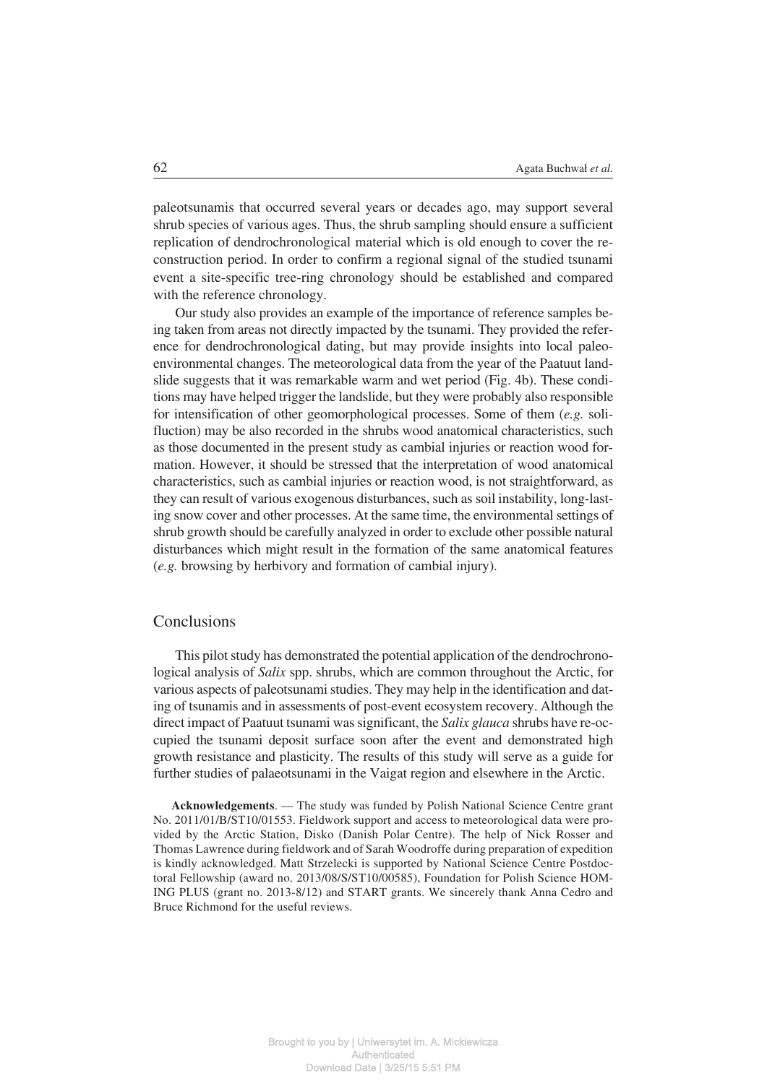paleotsunamis that occurred several years or decades ago, may support several shrub species of various ages. Thus, the shrub sampling should ensure a sufficient replication of dendrochronological material which is old enough to cover the re− construction period. In order to confirm a regional signal of the studied tsunami event a site−specific tree−ring chronology should be established and compared with the reference chronology.

Our study also provides an example of the importance of reference samples be− ing taken from areas not directly impacted by the tsunami. They provided the refer− ence for dendrochronological dating, but may provide insights into local paleo− environmental changes. The meteorological data from the year of the Paatuut land− slide suggests that it was remarkable warm and wet period (Fig. 4b). These condi− tions may have helped trigger the landslide, but they were probably also responsible for intensification of other geomorphological processes. Some of them (*e.g.* soli− fluction) may be also recorded in the shrubs wood anatomical characteristics, such as those documented in the present study as cambial injuries or reaction wood for− mation. However, it should be stressed that the interpretation of wood anatomical characteristics, such as cambial injuries or reaction wood, is not straightforward, as they can result of various exogenous disturbances, such as soil instability, long−last− ing snow cover and other processes. At the same time, the environmental settings of shrub growth should be carefully analyzed in order to exclude other possible natural disturbances which might result in the formation of the same anatomical features (*e.g.* browsing by herbivory and formation of cambial injury).

## **Conclusions**

This pilot study has demonstrated the potential application of the dendrochrono− logical analysis of *Salix* spp. shrubs, which are common throughout the Arctic, for various aspects of paleotsunami studies. They may help in the identification and dat− ing of tsunamis and in assessments of post−event ecosystem recovery. Although the direct impact of Paatuut tsunami was significant, the *Salix glauca* shrubs have re−oc− cupied the tsunami deposit surface soon after the event and demonstrated high growth resistance and plasticity. The results of this study will serve as a guide for further studies of palaeotsunami in the Vaigat region and elsewhere in the Arctic.

**Acknowledgements**. — The study was funded by Polish National Science Centre grant No. 2011/01/B/ST10/01553. Fieldwork support and access to meteorological data were pro− vided by the Arctic Station, Disko (Danish Polar Centre). The help of Nick Rosser and Thomas Lawrence during fieldwork and of Sarah Woodroffe during preparation of expedition is kindly acknowledged. Matt Strzelecki is supported by National Science Centre Postdoc− toral Fellowship (award no. 2013/08/S/ST10/00585), Foundation for Polish Science HOM− ING PLUS (grant no. 2013−8/12) and START grants. We sincerely thank Anna Cedro and Bruce Richmond for the useful reviews.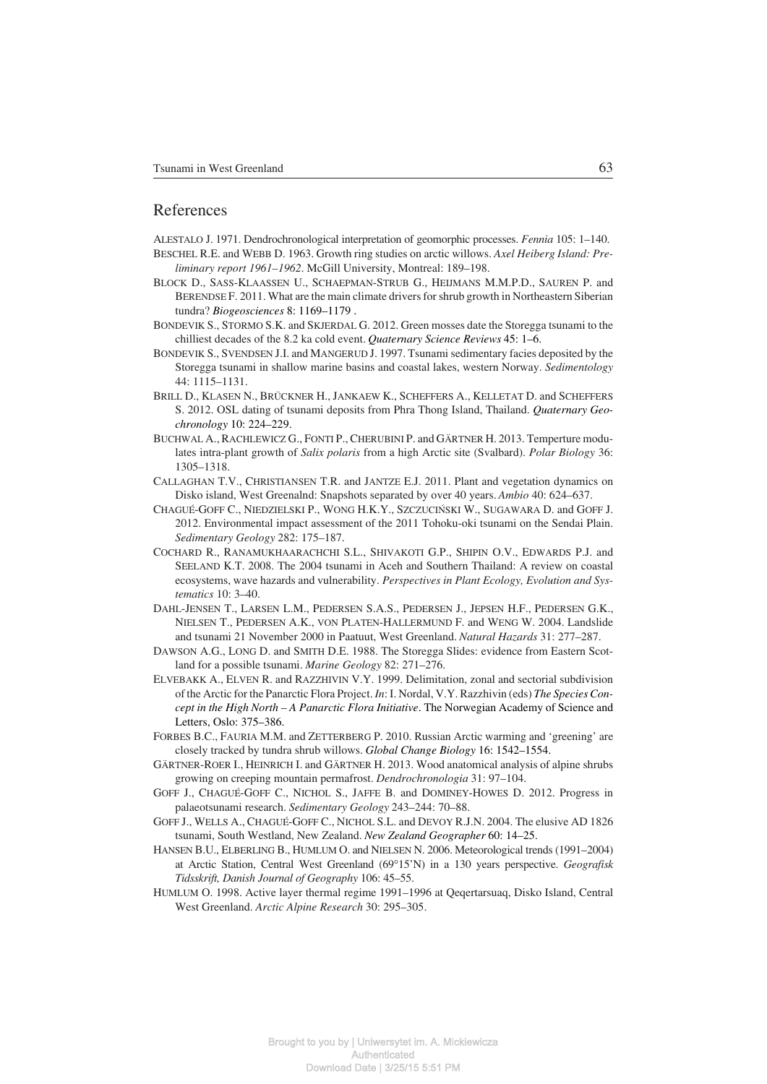#### References

ALESTALO J. 1971. Dendrochronological interpretation of geomorphic processes. *Fennia* 105: 1–140.

BESCHEL R.E. and WEBB D. 1963. Growth ring studies on arctic willows. *Axel Heiberg Island: Pre− liminary report 1961–1962*. McGill University, Montreal: 189–198.

- BLOCK D., SASS−KLAASSEN U., SCHAEPMAN−STRUB G., HEIJMANS M.M.P.D., SAUREN P. and BERENDSE F. 2011. What are the main climate drivers for shrub growth in Northeastern Siberian tundra? *Biogeosciences* 8: 1169–1179 .
- BONDEVIK S., STORMO S.K. and SKJERDAL G. 2012. Green mosses date the Storegga tsunami to the chilliest decades of the 8.2 ka cold event. *Quaternary Science Reviews* 45: 1–6.
- BONDEVIK S., SVENDSEN J.I. and MANGERUD J. 1997. Tsunami sedimentary facies deposited by the Storegga tsunami in shallow marine basins and coastal lakes, western Norway. *Sedimentology* 44: 1115–1131.
- BRILL D., KLASEN N., BRÜCKNER H., JANKAEW K., SCHEFFERS A., KELLETAT D. and SCHEFFERS S. 2012. OSL dating of tsunami deposits from Phra Thong Island, Thailand. *Quaternary Geo− chronology* 10: 224–229.
- BUCHWAL A., RACHLEWICZ G., FONTI P., CHERUBINI P. and GÄRTNER H. 2013. Temperture modu− lates intra−plant growth of *Salix polaris* from a high Arctic site (Svalbard). *Polar Biology* 36: 1305–1318.
- CALLAGHAN T.V., CHRISTIANSEN T.R. and JANTZE E.J. 2011. Plant and vegetation dynamics on Disko island, West Greenalnd: Snapshots separated by over 40 years. *Ambio* 40: 624–637.
- CHAGUÉ−GOFF C., NIEDZIELSKI P., WONG H.K.Y., SZCZUCIŃSKI W., SUGAWARA D. and GOFF J. 2012. Environmental impact assessment of the 2011 Tohoku−oki tsunami on the Sendai Plain. *Sedimentary Geology* 282: 175–187.
- COCHARD R., RANAMUKHAARACHCHI S.L., SHIVAKOTI G.P., SHIPIN O.V., EDWARDS P.J. and SEELAND K.T. 2008. The 2004 tsunami in Aceh and Southern Thailand: A review on coastal ecosystems, wave hazards and vulnerability. *Perspectives in Plant Ecology, Evolution and Sys− tematics* 10: 3–40.
- DAHL−JENSEN T., LARSEN L.M., PEDERSEN S.A.S., PEDERSEN J., JEPSEN H.F., PEDERSEN G.K., NIELSEN T., PEDERSEN A.K., VON PLATEN−HALLERMUND F. and WENG W. 2004. Landslide and tsunami 21 November 2000 in Paatuut, West Greenland. *Natural Hazards* 31: 277–287.
- DAWSON A.G., LONG D. and SMITH D.E. 1988. The Storegga Slides: evidence from Eastern Scot− land for a possible tsunami. *Marine Geology* 82: 271–276.
- ELVEBAKK A., ELVEN R. and RAZZHIVIN V.Y. 1999. Delimitation, zonal and sectorial subdivision of the Arctic for the Panarctic Flora Project. *In*: I. Nordal, V.Y. Razzhivin (eds) *The Species Con− cept in the High North – A Panarctic Flora Initiative*. The Norwegian Academy of Science and Letters, Oslo: 375–386.
- FORBES B.C., FAURIA M.M. and ZETTERBERG P. 2010. Russian Arctic warming and 'greening' are closely tracked by tundra shrub willows. *Global Change Biology* 16: 1542–1554.
- GÄRTNER−ROER I., HEINRICH I. and GÄRTNER H. 2013. Wood anatomical analysis of alpine shrubs growing on creeping mountain permafrost. *Dendrochronologia* 31: 97–104.
- GOFF J., CHAGUÉ−GOFF C., NICHOL S., JAFFE B. and DOMINEY−HOWES D. 2012. Progress in palaeotsunami research. *Sedimentary Geology* 243–244: 70–88.
- GOFF J., WELLS A., CHAGUÉ−GOFF C., NICHOL S.L. and DEVOY R.J.N. 2004. The elusive AD 1826 tsunami, South Westland, New Zealand. *New Zealand Geographer* 60: 14–25.
- HANSEN B.U., ELBERLING B., HUMLUM O. and NIELSEN N. 2006. Meteorological trends (1991–2004) SEN B.U., ELBERLING B., HUMLUM O. and NIELSEN N. 2006. Meteorological trends (1991–2004) at Arctic Station, Central West Greenland (69°15'N) in a 130 years perspective. *Geografisk Tidsskrift, Danish Journal of Geography* 106: 45–55.
- HUMLUM O. 1998. Active layer thermal regime 1991–1996 at Qeqertarsuaq, Disko Island, Central West Greenland. *Arctic Alpine Research* 30: 295–305.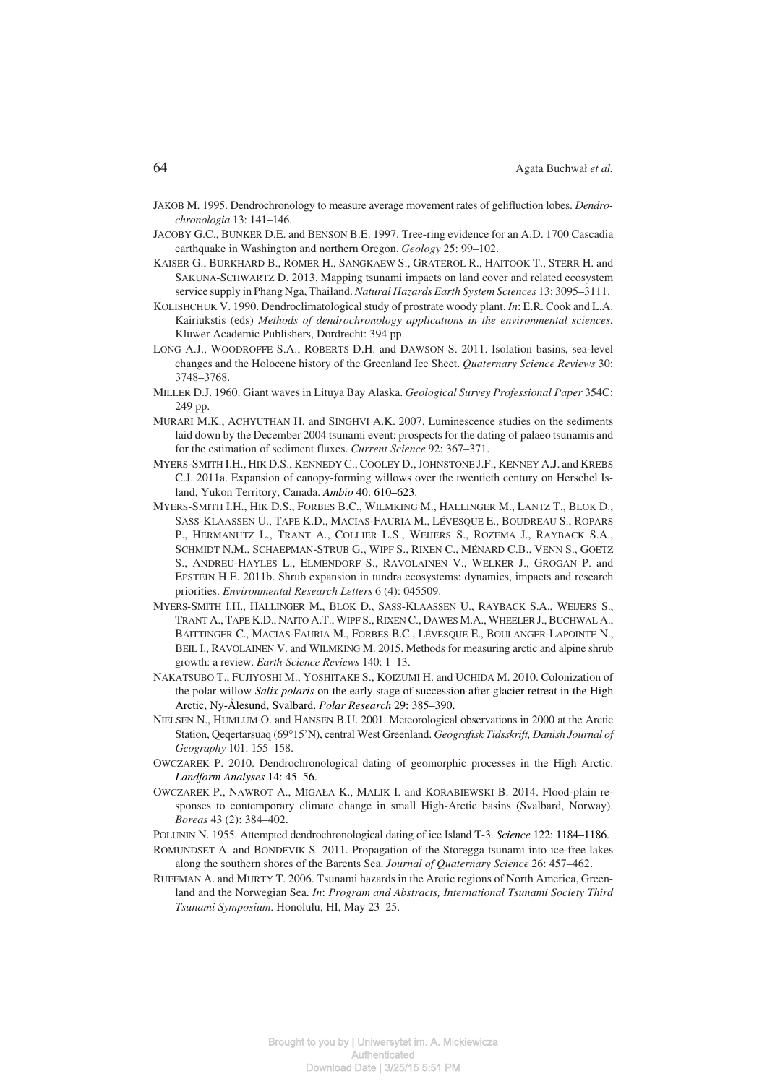- JAKOB M. 1995. Dendrochronology to measure average movement rates of gelifluction lobes. *Dendro− chronologia* 13: 141–146.
- JACOBY G.C., BUNKER D.E. and BENSON B.E. 1997. Tree−ring evidence for an A.D. 1700 Cascadia earthquake in Washington and northern Oregon. *Geology* 25: 99–102.
- KAISER G., BURKHARD B., RÖMER H., SANGKAEW S., GRATEROL R., HAITOOK T., STERR H. and SAKUNA−SCHWARTZ D. 2013. Mapping tsunami impacts on land cover and related ecosystem service supply in Phang Nga, Thailand. *Natural Hazards Earth System Sciences* 13: 3095–3111.
- KOLISHCHUK V. 1990. Dendroclimatological study of prostrate woody plant. *In*: E.R. Cook and L.A. Kairiukstis (eds) *Methods of dendrochronology applications in the environmental sciences.* Kluwer Academic Publishers, Dordrecht: 394 pp.
- LONG A.J., WOODROFFE S.A., ROBERTS D.H. and DAWSON S. 2011. Isolation basins, sea−level changes and the Holocene history of the Greenland Ice Sheet. *Quaternary Science Reviews* 30: 3748–3768.
- MILLER D.J. 1960. Giant waves in Lituya Bay Alaska. *Geological Survey Professional Paper* 354C: 249 pp.
- MURARI M.K., ACHYUTHAN H. and SINGHVI A.K. 2007. Luminescence studies on the sediments laid down by the December 2004 tsunami event: prospects for the dating of palaeo tsunamis and for the estimation of sediment fluxes. *Current Science* 92: 367–371.
- MYERS−SMITH I.H., HIK D.S., KENNEDY C., COOLEY D., JOHNSTONE J.F., KENNEY A.J. and KREBS C.J. 2011a. Expansion of canopy−forming willows over the twentieth century on Herschel Is− land, Yukon Territory, Canada. *Ambio* 40: 610–623.
- MYERS−SMITH I.H., HIK D.S., FORBES B.C., WILMKING M., HALLINGER M., LANTZ T., BLOK D., SASS−KLAASSEN U., TAPE K.D., MACIAS−FAURIA M., LÉVESQUE E., BOUDREAU S., ROPARS P., HERMANUTZ L., TRANT A., COLLIER L.S., WEIJERS S., ROZEMA J., RAYBACK S.A., SCHMIDT N.M., SCHAEPMAN−STRUB G., WIPF S., RIXEN C., MÉNARD C.B., VENN S., GOETZ S., ANDREU−HAYLES L., ELMENDORF S., RAVOLAINEN V., WELKER J., GROGAN P. and EPSTEIN H.E. 2011b. Shrub expansion in tundra ecosystems: dynamics, impacts and research priorities. *Environmental Research Letters* 6 (4): 045509.
- MYERS−SMITH I.H., HALLINGER M., BLOK D., SASS−KLAASSEN U., RAYBACK S.A., WEIJERS S., TRANT A., TAPE K.D., NAITO A.T., WIPF S., RIXEN C., DAWES M.A., WHEELER J., BUCHWAL A., BAITTINGER C., MACIAS−FAURIA M., FORBES B.C., LÉVESQUE E., BOULANGER−LAPOINTE N., BEIL I., RAVOLAINEN V. and WILMKING M. 2015. Methods for measuring arctic and alpine shrub growth: a review. *Earth−Science Reviews* 140: 1–13.
- NAKATSUBO T., FUJIYOSHI M., YOSHITAKE S., KOIZUMI H. and UCHIDA M. 2010. Colonization of the polar willow *Salix polaris* on the early stage of succession after glacier retreat in the High Arctic, Ny−Ålesund, Svalbard. *Polar Research* 29: 385–390.
- NIELSEN N., HUMLUM O. and HANSEN B.U. 2001. Meteorological observations in 2000 at the Arctic<br>Station, Qeqertarsuaq (69°15'N), central West Greenland. Geografisk Tidsskrift, Danish Journal of 15'N), central West Greenland. *Geografisk Tidsskrift, Danish Journal of Geography* 101: 155–158.
- OWCZAREK P. 2010. Dendrochronological dating of geomorphic processes in the High Arctic. *Landform Analyses* 14: 45–56.
- OWCZAREK P., NAWROT A., MIGAŁA K., MALIK I. and KORABIEWSKI B. 2014. Flood−plain re− sponses to contemporary climate change in small High−Arctic basins (Svalbard, Norway). *Boreas* 43 (2): 384–402.
- POLUNIN N. 1955. Attempted dendrochronological dating of ice Island T−3. *Science* 122: 1184–1186.
- ROMUNDSET A. and BONDEVIK S. 2011. Propagation of the Storegga tsunami into ice−free lakes along the southern shores of the Barents Sea. *Journal of Quaternary Science* 26: 457–462.
- RUFFMAN A. and MURTY T. 2006. Tsunami hazards in the Arctic regions of North America, Green− land and the Norwegian Sea. *In*: *Program and Abstracts, International Tsunami Society Third Tsunami Symposium*. Honolulu, HI, May 23–25.